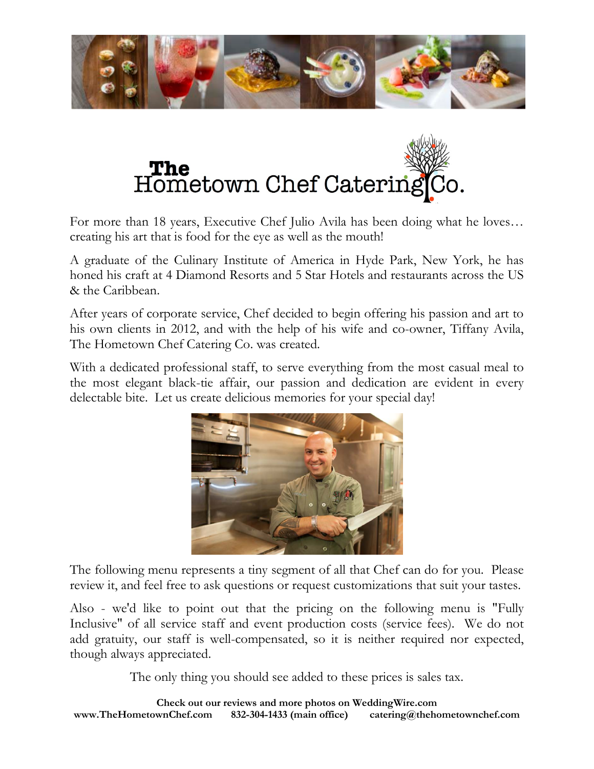



For more than 18 years, Executive Chef Julio Avila has been doing what he loves… creating his art that is food for the eye as well as the mouth!

A graduate of the Culinary Institute of America in Hyde Park, New York, he has honed his craft at 4 Diamond Resorts and 5 Star Hotels and restaurants across the US & the Caribbean.

After years of corporate service, Chef decided to begin offering his passion and art to his own clients in 2012, and with the help of his wife and co-owner, Tiffany Avila, The Hometown Chef Catering Co. was created.

With a dedicated professional staff, to serve everything from the most casual meal to the most elegant black-tie affair, our passion and dedication are evident in every delectable bite. Let us create delicious memories for your special day!



The following menu represents a tiny segment of all that Chef can do for you. Please review it, and feel free to ask questions or request customizations that suit your tastes.

Also - we'd like to point out that the pricing on the following menu is "Fully Inclusive" of all service staff and event production costs (service fees). We do not add gratuity, our staff is well-compensated, so it is neither required nor expected, though always appreciated.

The only thing you should see added to these prices is sales tax.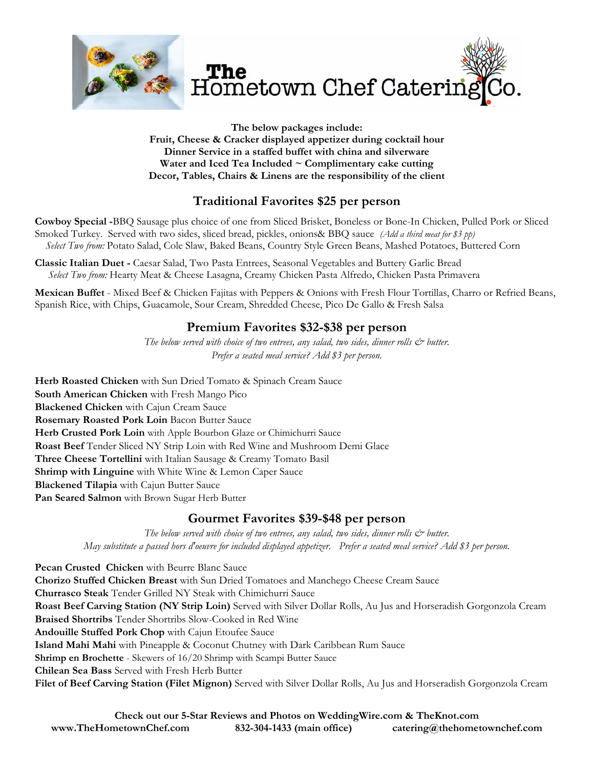

**The below packages include: Fruit, Cheese & Cracker displayed appetizer during cocktail hour Dinner Service in a staffed buffet with china and silverware Water and Iced Tea Included ~ Complimentary cake cutting Decor, Tables, Chairs & Linens are the responsibility of the client** 

# **Traditional Favorites \$25 per person**

**Cowboy Special -**BBQ Sausage plus choice of one from Sliced Brisket, Boneless or Bone-In Chicken, Pulled Pork or Sliced Smoked Turkey. Served with two sides, sliced bread, pickles, onions& BBQ sauce *(Add a third meat for \$3 pp) Select Two from:* Potato Salad, Cole Slaw, Baked Beans, Country Style Green Beans, Mashed Potatoes, Buttered Corn

**Classic Italian Duet -** Caesar Salad, Two Pasta Entrees, Seasonal Vegetables and Buttery Garlic Bread  *Select Two from:* Hearty Meat & Cheese Lasagna, Creamy Chicken Pasta Alfredo, Chicken Pasta Primavera

**Mexican Buffet** - Mixed Beef & Chicken Fajitas with Peppers & Onions with Fresh Flour Tortillas, Charro or Refried Beans, Spanish Rice, with Chips, Guacamole, Sour Cream, Shredded Cheese, Pico De Gallo & Fresh Salsa

# **Premium Favorites \$32-\$38 per person**

*The below served with choice of two entrees, any salad, two sides, dinner rolls*  $\mathcal{O}^*$  *butter. Prefer a seated meal service? Add \$3 per person.* 

**Herb Roasted Chicken** with Sun Dried Tomato & Spinach Cream Sauce **South American Chicken** with Fresh Mango Pico **Blackened Chicken** with Cajun Cream Sauce **Rosemary Roasted Pork Loin** Bacon Butter Sauce **Herb Crusted Pork Loin** with Apple Bourbon Glaze or Chimichurri Sauce **Roast Beef** Tender Sliced NY Strip Loin with Red Wine and Mushroom Demi Glace **Three Cheese Tortellini** with Italian Sausage & Creamy Tomato Basil **Shrimp with Linguine** with White Wine & Lemon Caper Sauce **Blackened Tilapia** with Cajun Butter Sauce **Pan Seared Salmon** with Brown Sugar Herb Butter

# **Gourmet Favorites \$39-\$48 per person**

*The below served with choice of two entrees, any salad, two sides, dinner rolls*  $\mathcal{O}^*$  *butter. May substitute a passed hors d'oeuvre for included displayed appetizer. Prefer a seated meal service? Add \$3 per person.* 

**Pecan Crusted Chicken** with Beurre Blanc Sauce **Chorizo Stuffed Chicken Breast** with Sun Dried Tomatoes and Manchego Cheese Cream Sauce **Churrasco Steak** Tender Grilled NY Steak with Chimichurri Sauce **Roast Beef Carving Station (NY Strip Loin)** Served with Silver Dollar Rolls, Au Jus and Horseradish Gorgonzola Cream **Braised Shortribs** Tender Shortribs Slow-Cooked in Red Wine **Andouille Stuffed Pork Chop** with Cajun Etoufee Sauce **Island Mahi Mahi** with Pineapple & Coconut Chutney with Dark Caribbean Rum Sauce **Shrimp en Brochette** - Skewers of 16/20 Shrimp with Scampi Butter Sauce **Chilean Sea Bass** Served with Fresh Herb Butter **Filet of Beef Carving Station (Filet Mignon)** Served with Silver Dollar Rolls, Au Jus and Horseradish Gorgonzola Cream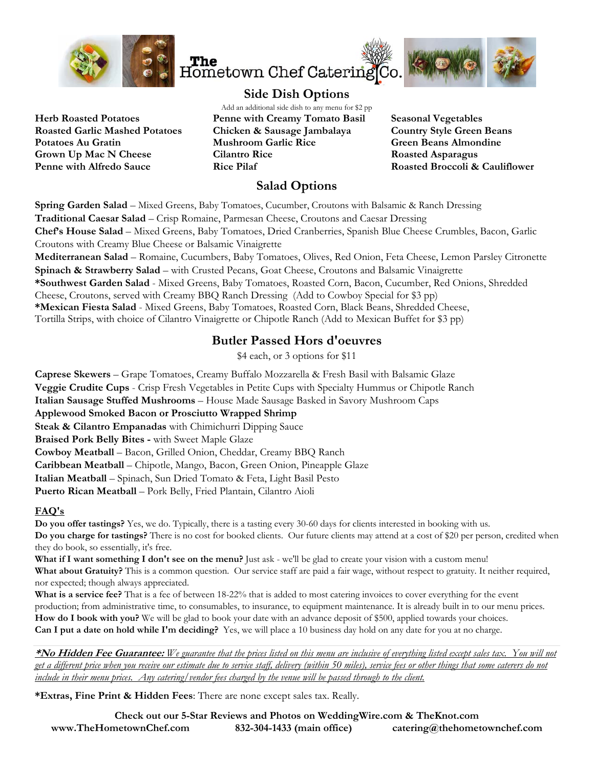



**Herb Roasted Potatoes Roasted Garlic Mashed Potatoes Potatoes Au Gratin Grown Up Mac N Cheese Penne with Alfredo Sauce**

Add an additional side dish to any menu for \$2 pp **Penne with Creamy Tomato Basil Chicken & Sausage Jambalaya Mushroom Garlic Rice Cilantro Rice Rice Pilaf** 

**Seasonal Vegetables Country Style Green Beans Green Beans Almondine Roasted Asparagus Roasted Broccoli & Cauliflower** 

# **Salad Options**

**Spring Garden Salad** – Mixed Greens, Baby Tomatoes, Cucumber, Croutons with Balsamic & Ranch Dressing **Traditional Caesar Salad** – Crisp Romaine, Parmesan Cheese, Croutons and Caesar Dressing **Chef's House Salad** – Mixed Greens, Baby Tomatoes, Dried Cranberries, Spanish Blue Cheese Crumbles, Bacon, Garlic Croutons with Creamy Blue Cheese or Balsamic Vinaigrette **Mediterranean Salad** – Romaine, Cucumbers, Baby Tomatoes, Olives, Red Onion, Feta Cheese, Lemon Parsley Citronette **Spinach & Strawberry Salad** – with Crusted Pecans, Goat Cheese, Croutons and Balsamic Vinaigrette **\*Southwest Garden Salad** - Mixed Greens, Baby Tomatoes, Roasted Corn, Bacon, Cucumber, Red Onions, Shredded Cheese, Croutons, served with Creamy BBQ Ranch Dressing (Add to Cowboy Special for \$3 pp) **\*Mexican Fiesta Salad** - Mixed Greens, Baby Tomatoes, Roasted Corn, Black Beans, Shredded Cheese,

Tortilla Strips, with choice of Cilantro Vinaigrette or Chipotle Ranch (Add to Mexican Buffet for \$3 pp)

# **Butler Passed Hors d'oeuvres**

\$4 each, or 3 options for \$11

**Caprese Skewers** – Grape Tomatoes, Creamy Buffalo Mozzarella & Fresh Basil with Balsamic Glaze **Veggie Crudite Cups** - Crisp Fresh Vegetables in Petite Cups with Specialty Hummus or Chipotle Ranch **Italian Sausage Stuffed Mushrooms** – House Made Sausage Basked in Savory Mushroom Caps **Applewood Smoked Bacon or Prosciutto Wrapped Shrimp Steak & Cilantro Empanadas** with Chimichurri Dipping Sauce **Braised Pork Belly Bites -** with Sweet Maple Glaze **Cowboy Meatball** – Bacon, Grilled Onion, Cheddar, Creamy BBQ Ranch **Caribbean Meatball** – Chipotle, Mango, Bacon, Green Onion, Pineapple Glaze **Italian Meatball** – Spinach, Sun Dried Tomato & Feta, Light Basil Pesto **Puerto Rican Meatball** – Pork Belly, Fried Plantain, Cilantro Aioli

# **FAQ's**

**Do you offer tastings?** Yes, we do. Typically, there is a tasting every 30-60 days for clients interested in booking with us. **Do you charge for tastings?** There is no cost for booked clients. Our future clients may attend at a cost of \$20 per person, credited when they do book, so essentially, it's free.

What if I want something I don't see on the menu? Just ask - we'll be glad to create your vision with a custom menu! **What about Gratuity?** This is a common question. Our service staff are paid a fair wage, without respect to gratuity. It neither required, nor expected; though always appreciated.

**What is a service fee?** That is a fee of between 18-22% that is added to most catering invoices to cover everything for the event production; from administrative time, to consumables, to insurance, to equipment maintenance. It is already built in to our menu prices. **How do I book with you?** We will be glad to book your date with an advance deposit of \$500, applied towards your choices. **Can I put a date on hold while I'm deciding?** Yes, we will place a 10 business day hold on any date for you at no charge.

**\*No Hidden Fee Guarantee:** *We guarantee that the prices listed on this menu are inclusive of everything listed except sales tax. You will not get a different price when you receive our estimate due to service staff, delivery (within 50 miles), service fees or other things that some caterers do not include in their menu prices. Any catering/vendor fees charged by the venue will be passed through to the client.* 

**\*Extras, Fine Print & Hidden Fees**: There are none except sales tax. Really.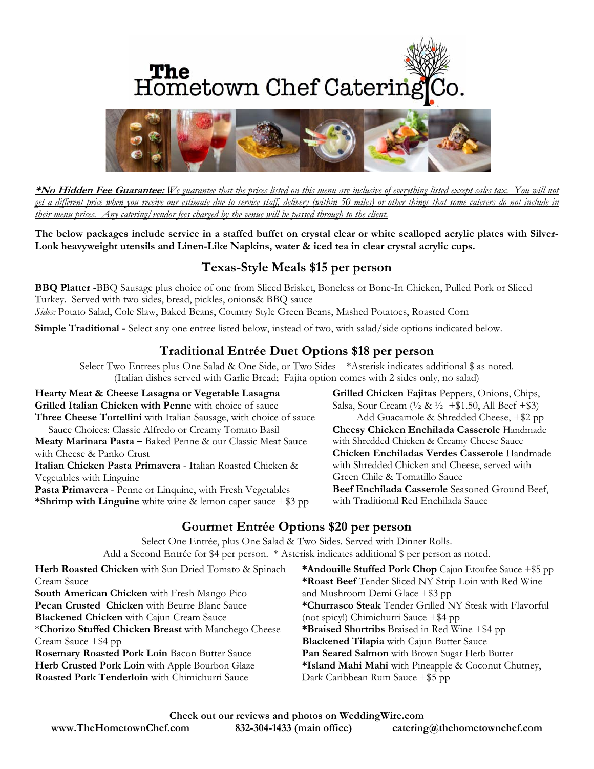# **The**<br>Hometown Chef Catering Co.



**\*No Hidden Fee Guarantee:** *We guarantee that the prices listed on this menu are inclusive of everything listed except sales tax. You will not get a different price when you receive our estimate due to service staff, delivery (within 50 miles) or other things that some caterers do not include in their menu prices. Any catering/vendor fees charged by the venue will be passed through to the client.* 

**The below packages include service in a staffed buffet on crystal clear or white scalloped acrylic plates with Silver-Look heavyweight utensils and Linen-Like Napkins, water & iced tea in clear crystal acrylic cups.** 

# **Texas-Style Meals \$15 per person**

**BBQ Platter -**BBQ Sausage plus choice of one from Sliced Brisket, Boneless or Bone-In Chicken, Pulled Pork or Sliced Turkey. Served with two sides, bread, pickles, onions& BBQ sauce *Sides:* Potato Salad, Cole Slaw, Baked Beans, Country Style Green Beans, Mashed Potatoes, Roasted Corn

**Simple Traditional -** Select any one entree listed below, instead of two, with salad/side options indicated below.

# **Traditional Entrée Duet Options \$18 per person**

Select Two Entrees plus One Salad & One Side, or Two Sides \*Asterisk indicates additional \$ as noted. (Italian dishes served with Garlic Bread; Fajita option comes with 2 sides only, no salad)

**Hearty Meat & Cheese Lasagna or Vegetable Lasagna Grilled Italian Chicken with Penne** with choice of sauce **Three Cheese Tortellini** with Italian Sausage, with choice of sauce Sauce Choices: Classic Alfredo or Creamy Tomato Basil **Meaty Marinara Pasta –** Baked Penne & our Classic Meat Sauce with Cheese & Panko Crust **Italian Chicken Pasta Primavera** - Italian Roasted Chicken &

Vegetables with Linguine

**Pasta Primavera** - Penne or Linquine, with Fresh Vegetables **\*Shrimp with Linguine** white wine & lemon caper sauce +\$3 pp **Grilled Chicken Fajitas** Peppers, Onions, Chips, Salsa, Sour Cream  $(\frac{1}{2} \& \frac{1}{2} + \$1.50,$  All Beef +\$3) Add Guacamole & Shredded Cheese, +\$2 pp **Cheesy Chicken Enchilada Casserole** Handmade with Shredded Chicken & Creamy Cheese Sauce **Chicken Enchiladas Verdes Casserole** Handmade with Shredded Chicken and Cheese, served with Green Chile & Tomatillo Sauce **Beef Enchilada Casserole** Seasoned Ground Beef, with Traditional Red Enchilada Sauce

# **Gourmet Entrée Options \$20 per person**

Select One Entrée, plus One Salad & Two Sides. Served with Dinner Rolls. Add a Second Entrée for \$4 per person. \* Asterisk indicates additional \$ per person as noted.

| Herb Roasted Chicken with Sun Dried Tomato & Spinach | *Andouille Stuffed Pork Chop Cajun Etoufee Sauce +\$5 pp |
|------------------------------------------------------|----------------------------------------------------------|
| Cream Sauce                                          | *Roast Beef Tender Sliced NY Strip Loin with Red Wine    |
| South American Chicken with Fresh Mango Pico         | and Mushroom Demi Glace $+$ \$3 pp                       |
| Pecan Crusted Chicken with Beurre Blanc Sauce        | *Churrasco Steak Tender Grilled NY Steak with Flavorful  |
| <b>Blackened Chicken</b> with Cajun Cream Sauce      | (not spicy!) Chimichurri Sauce +\$4 pp                   |
| *Chorizo Stuffed Chicken Breast with Manchego Cheese | *Braised Shortribs Braised in Red Wine +\$4 pp           |
| Cream Sauce +\$4 pp                                  | <b>Blackened Tilapia</b> with Cajun Butter Sauce         |
| Rosemary Roasted Pork Loin Bacon Butter Sauce        | Pan Seared Salmon with Brown Sugar Herb Butter           |
| Herb Crusted Pork Loin with Apple Bourbon Glaze      | *Island Mahi Mahi with Pineapple & Coconut Chutney,      |
| Roasted Pork Tenderloin with Chimichurri Sauce       | Dark Caribbean Rum Sauce +\$5 pp                         |
|                                                      |                                                          |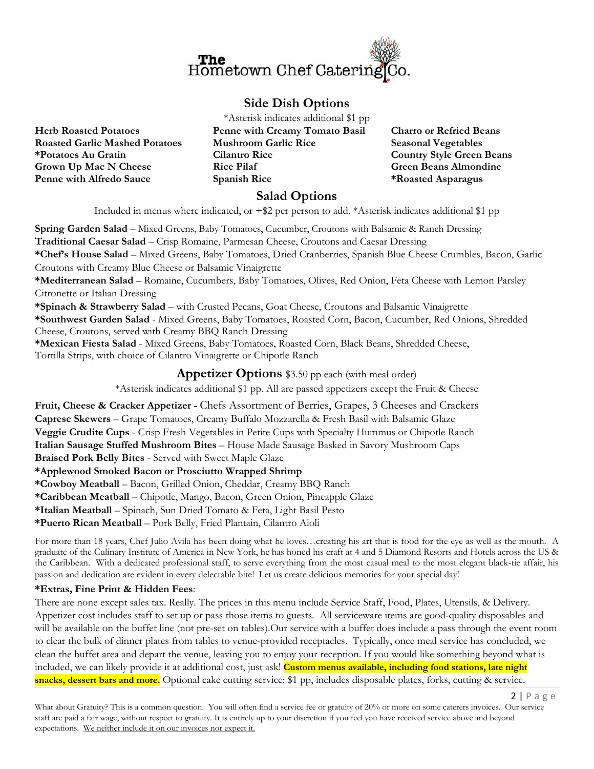

# **Side Dish Options**

**Herb Roasted Potatoes Roasted Garlic Mashed Potatoes \*Potatoes Au Gratin Grown Up Mac N Cheese Penne with Alfredo Sauce**

\*Asterisk indicates additional \$1 pp **Penne with Creamy Tomato Basil Mushroom Garlic Rice Cilantro Rice Rice Pilaf Spanish Rice** 

**Charro or Refried Beans Seasonal Vegetables Country Style Green Beans Green Beans Almondine \*Roasted Asparagus** 

 $2 | P \text{age}$ 

# **Salad Options**

Included in menus where indicated, or +\$2 per person to add. \*Asterisk indicates additional \$1 pp

**Spring Garden Salad** – Mixed Greens, Baby Tomatoes, Cucumber, Croutons with Balsamic & Ranch Dressing **Traditional Caesar Salad** – Crisp Romaine, Parmesan Cheese, Croutons and Caesar Dressing **\*Chef's House Salad** – Mixed Greens, Baby Tomatoes, Dried Cranberries, Spanish Blue Cheese Crumbles, Bacon, Garlic Croutons with Creamy Blue Cheese or Balsamic Vinaigrette **\*Mediterranean Salad** – Romaine, Cucumbers, Baby Tomatoes, Olives, Red Onion, Feta Cheese with Lemon Parsley Citronette or Italian Dressing **\*Spinach & Strawberry Salad** – with Crusted Pecans, Goat Cheese, Croutons and Balsamic Vinaigrette **\*Southwest Garden Salad** - Mixed Greens, Baby Tomatoes, Roasted Corn, Bacon, Cucumber, Red Onions, Shredded Cheese, Croutons, served with Creamy BBQ Ranch Dressing **\*Mexican Fiesta Salad** - Mixed Greens, Baby Tomatoes, Roasted Corn, Black Beans, Shredded Cheese, Tortilla Strips, with choice of Cilantro Vinaigrette or Chipotle Ranch **Appetizer Options** \$3.50 pp each (with meal order) \*Asterisk indicates additional \$1 pp. All are passed appetizers except the Fruit & Cheese **Fruit, Cheese & Cracker Appetizer -** Chefs Assortment of Berries, Grapes, 3 Cheeses and Crackers **Caprese Skewers** – Grape Tomatoes, Creamy Buffalo Mozzarella & Fresh Basil with Balsamic Glaze **Veggie Crudite Cups** - Crisp Fresh Vegetables in Petite Cups with Specialty Hummus or Chipotle Ranch **Italian Sausage Stuffed Mushroom Bites** – House Made Sausage Basked in Savory Mushroom Caps **Braised Pork Belly Bites** - Served with Sweet Maple Glaze **\*Applewood Smoked Bacon or Prosciutto Wrapped Shrimp** 

**\*Cowboy Meatball** – Bacon, Grilled Onion, Cheddar, Creamy BBQ Ranch

**\*Caribbean Meatball** – Chipotle, Mango, Bacon, Green Onion, Pineapple Glaze

**\*Italian Meatball** – Spinach, Sun Dried Tomato & Feta, Light Basil Pesto

**\*Puerto Rican Meatball** – Pork Belly, Fried Plantain, Cilantro Aioli

For more than 18 years, Chef Julio Avila has been doing what he loves...creating his art that is food for the eye as well as the mouth. A graduate of the Culinary Institute of America in New York, he has honed his craft at 4 and 5 Diamond Resorts and Hotels across the US & the Caribbean. With a dedicated professional staff, to serve everything from the most casual meal to the most elegant black-tie affair, his passion and dedication are evident in every delectable bite! Let us create delicious memories for your special day!

# **\*Extras, Fine Print & Hidden Fees**:

There are none except sales tax. Really. The prices in this menu include Service Staff, Food, Plates, Utensils, & Delivery. Appetizer cost includes staff to set up or pass those items to guests. All serviceware items are good-quality disposables and will be available on the buffet line (not pre-set on tables).Our service with a buffet does include a pass through the event room to clear the bulk of dinner plates from tables to venue-provided receptacles. Typically, once meal service has concluded, we clean the buffet area and depart the venue, leaving you to enjoy your reception. If you would like something beyond what is included, we can likely provide it at additional cost, just ask! **Custom menus available, including food stations, late night snacks, dessert bars and more.** Optional cake cutting service: \$1 pp, includes disposable plates, forks, cutting & service.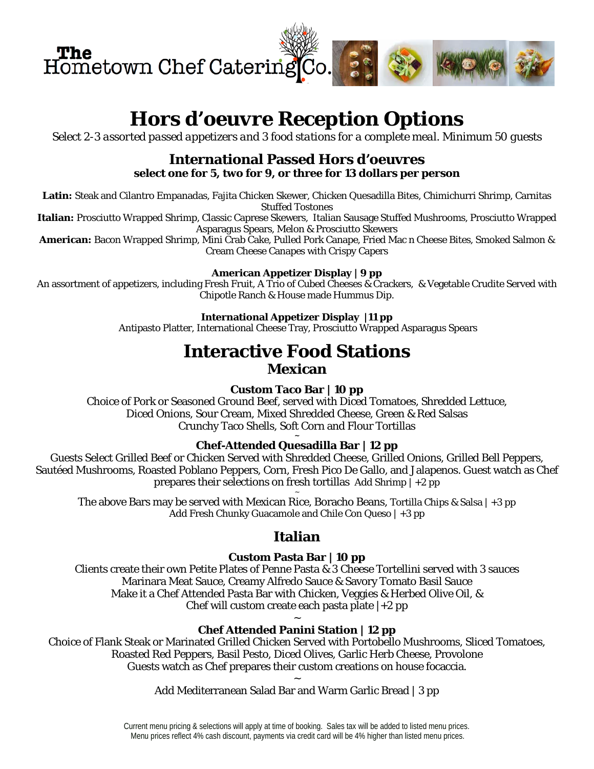

# *Hors d'oeuvre Reception Options*

*Select 2-3 assorted passed appetizers and 3 food stations for a complete meal. Minimum 50 guests*

# **International Passed Hors d'oeuvres select one for 5, two for 9, or three for 13 dollars per person**

**Latin:** Steak and Cilantro Empanadas, Fajita Chicken Skewer, Chicken Quesadilla Bites, Chimichurri Shrimp, Carnitas Stuffed Tostones

**Italian:** Prosciutto Wrapped Shrimp, Classic Caprese Skewers, Italian Sausage Stuffed Mushrooms, Prosciutto Wrapped Asparagus Spears, Melon & Prosciutto Skewers

**American:** Bacon Wrapped Shrimp, Mini Crab Cake, Pulled Pork Canape, Fried Mac n Cheese Bites, Smoked Salmon & Cream Cheese Canapes with Crispy Capers

### **American Appetizer Display | 9 pp**

An assortment of appetizers, including Fresh Fruit, A Trio of Cubed Cheeses & Crackers, & Vegetable Crudite Served with Chipotle Ranch & House made Hummus Dip.

## **International Appetizer Display |11 pp**

Antipasto Platter, International Cheese Tray, Prosciutto Wrapped Asparagus Spears

# **Interactive Food Stations Mexican**

# **Custom Taco Bar | 10 pp**

Choice of Pork or Seasoned Ground Beef, served with Diced Tomatoes, Shredded Lettuce, Diced Onions, Sour Cream, Mixed Shredded Cheese, Green & Red Salsas Crunchy Taco Shells, Soft Corn and Flour Tortillas

#### **~ Chef-Attended Quesadilla Bar | 12 pp**

Guests Select Grilled Beef or Chicken Served with Shredded Cheese, Grilled Onions, Grilled Bell Peppers, Sautéed Mushrooms, Roasted Poblano Peppers, Corn, Fresh Pico De Gallo, and Jalapenos. Guest watch as Chef prepares their selections on fresh tortillas Add Shrimp  $|+2$  pp

~ The above Bars may be served with Mexican Rice, Boracho Beans, Tortilla Chips & Salsa | +3 pp Add Fresh Chunky Guacamole and Chile Con Queso | +3 pp

# **Italian**

# **Custom Pasta Bar | 10 pp**

Clients create their own Petite Plates of Penne Pasta & 3 Cheese Tortellini served with 3 sauces Marinara Meat Sauce, Creamy Alfredo Sauce & Savory Tomato Basil Sauce Make it a Chef Attended Pasta Bar with Chicken, Veggies & Herbed Olive Oil, & Chef will custom create each pasta plate  $|+2$  pp

#### $\ddot{\phantom{0}}$ **Chef Attended Panini Station | 12 pp**

Choice of Flank Steak or Marinated Grilled Chicken Served with Portobello Mushrooms, Sliced Tomatoes, Roasted Red Peppers, Basil Pesto, Diced Olives, Garlic Herb Cheese, Provolone Guests watch as Chef prepares their custom creations on house focaccia.

> ~ Add Mediterranean Salad Bar and Warm Garlic Bread | 3 pp

Current menu pricing & selections will apply at time of booking. Sales tax will be added to listed menu prices. Menu prices reflect 4% cash discount, payments via credit card will be 4% higher than listed menu prices.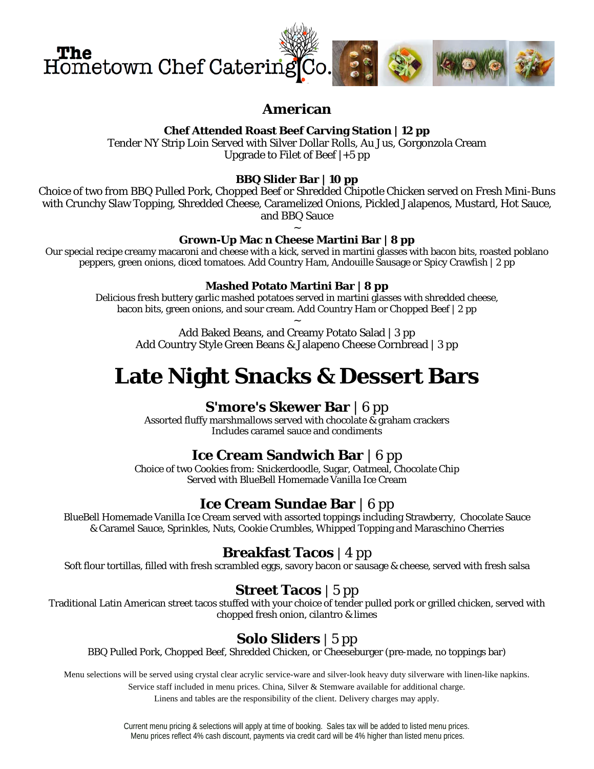

# **American**

# **Chef Attended Roast Beef Carving Station | 12 pp**

Tender NY Strip Loin Served with Silver Dollar Rolls, Au Jus, Gorgonzola Cream Upgrade to Filet of Beef |+5 pp

# **BBQ Slider Bar | 10 pp**

Choice of two from BBQ Pulled Pork, Chopped Beef or Shredded Chipotle Chicken served on Fresh Mini-Buns with Crunchy Slaw Topping, Shredded Cheese, Caramelized Onions, Pickled Jalapenos, Mustard, Hot Sauce, and BBQ Sauce

#### ~ **Grown-Up Mac n Cheese Martini Bar | 8 pp**

Our special recipe creamy macaroni and cheese with a kick, served in martini glasses with bacon bits, roasted poblano peppers, green onions, diced tomatoes. Add Country Ham, Andouille Sausage or Spicy Crawfish | 2 pp

#### **Mashed Potato Martini Bar | 8 pp**

Delicious fresh buttery garlic mashed potatoes served in martini glasses with shredded cheese, bacon bits, green onions, and sour cream. Add Country Ham or Chopped Beef | 2 pp ~

Add Baked Beans, and Creamy Potato Salad | 3 pp Add Country Style Green Beans & Jalapeno Cheese Cornbread | 3 pp

# **Late Night Snacks & Dessert Bars**

# **S'more's Skewer Bar** | *6 pp*

Assorted fluffy marshmallows served with chocolate & graham crackers Includes caramel sauce and condiments

# **Ice Cream Sandwich Bar** | *6 pp*

Choice of two Cookies from: Snickerdoodle, Sugar, Oatmeal, Chocolate Chip Served with BlueBell Homemade Vanilla Ice Cream

# **Ice Cream Sundae Bar** | *6 pp*

BlueBell Homemade Vanilla Ice Cream served with assorted toppings including Strawberry, Chocolate Sauce & Caramel Sauce, Sprinkles, Nuts, Cookie Crumbles, Whipped Topping and Maraschino Cherries

# **Breakfast Tacos** | 4 pp

Soft flour tortillas, filled with fresh scrambled eggs, savory bacon or sausage & cheese, served with fresh salsa

# **Street Tacos** | 5 pp

Traditional Latin American street tacos stuffed with your choice of tender pulled pork or grilled chicken, served with chopped fresh onion, cilantro & limes

# **Solo Sliders** | 5 pp

BBQ Pulled Pork, Chopped Beef, Shredded Chicken, or Cheeseburger (pre-made, no toppings bar)

Menu selections will be served using crystal clear acrylic service-ware and silver-look heavy duty silverware with linen-like napkins.

Service staff included in menu prices. China, Silver & Stemware available for additional charge.

Linens and tables are the responsibility of the client. Delivery charges may apply.

Current menu pricing & selections will apply at time of booking. Sales tax will be added to listed menu prices. Menu prices reflect 4% cash discount, payments via credit card will be 4% higher than listed menu prices.